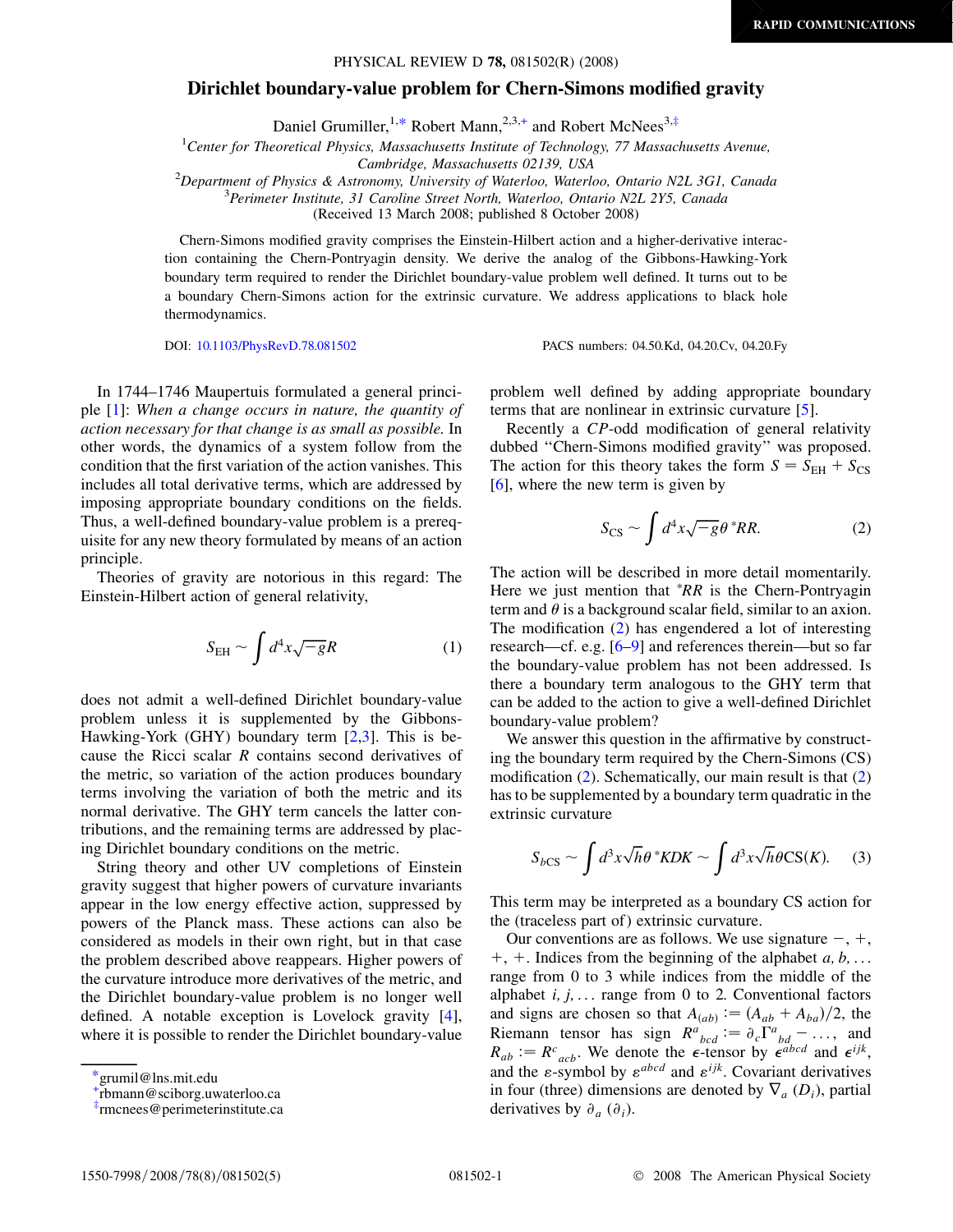# <span id="page-0-0"></span>Dirichlet boundary-value problem for Chern-Simons modified gravity

Daniel Grumiller, <sup>1,\*</sup> Robert Mann, <sup>2,3,+</sup> and Robert McNees<sup>3,‡</sup>

<sup>1</sup> Center for Theoretical Physics, Massachusetts Institute of Technology, 77 Massachusetts Avenue,

Cambridge, Massachusetts 02139, USA<br><sup>2</sup>Department of Physics & Astronomy University of Waterloo, Waterlo

Department of Physics & Astronomy, University of Waterloo, Waterloo, Ontario N2L 3G1, Canada<br><sup>3</sup> Parimeter Institute, 31 Caroline Street North, Waterloo, Ontario N2L 2V5, Canada

 ${}^{3}$ Perimeter Institute, 31 Caroline Street North, Waterloo, Ontario N2L 2Y5, Canada

(Received 13 March 2008; published 8 October 2008)

Chern-Simons modified gravity comprises the Einstein-Hilbert action and a higher-derivative interaction containing the Chern-Pontryagin density. We derive the analog of the Gibbons-Hawking-York boundary term required to render the Dirichlet boundary-value problem well defined. It turns out to be a boundary Chern-Simons action for the extrinsic curvature. We address applications to black hole thermodynamics.

DOI: [10.1103/PhysRevD.78.081502](http://dx.doi.org/10.1103/PhysRevD.78.081502) PACS numbers: 04.50.Kd, 04.20.Cv, 04.20.Fy

In 1744–1746 Maupertuis formulated a general principle  $[1]$ : When a change occurs in nature, the quantity of action necessary for that change is as small as possible. In other words, the dynamics of a system follow from the condition that the first variation of the action vanishes. This includes all total derivative terms, which are addressed by imposing appropriate boundary conditions on the fields. Thus, a well-defined boundary-value problem is a prerequisite for any new theory formulated by means of an action principle.

Theories of gravity are notorious in this regard: The Einstein-Hilbert action of general relativity,

$$
S_{\rm EH} \sim \int d^4x \sqrt{-g}R\tag{1}
$$

does not admit a well-defined Dirichlet boundary-value problem unless it is supplemented by the Gibbons-Hawking-York (GHY) boundary term  $[2,3]$ . This is because the Ricci scalar R contains second derivatives of the metric, so variation of the action produces boundary terms involving the variation of both the metric and its normal derivative. The GHY term cancels the latter contributions, and the remaining terms are addressed by placing Dirichlet boundary conditions on the metric.

String theory and other UV completions of Einstein gravity suggest that higher powers of curvature invariants appear in the low energy effective action, suppressed by powers of the Planck mass. These actions can also be considered as models in their own right, but in that case the problem described above reappears. Higher powers of the curvature introduce more derivatives of the metric, and the Dirichlet boundary-value problem is no longer well defined. A notable exception is Lovelock gravity [4], where it is possible to render the Dirichlet boundary-value

problem well defined by adding appropriate boundary terms that are nonlinear in extrinsic curvature [5].

Recently a CP-odd modification of general relativity dubbed ''Chern-Simons modified gravity'' was proposed. The action for this theory takes the form  $S = S_{EH} + S_{CS}$ [6], where the new term is given by

$$
S_{\rm CS} \sim \int d^4x \sqrt{-g} \theta^* RR. \tag{2}
$$

The action will be described in more detail momentarily. Here we just mention that  $R^*R$  is the Chern-Pontryagin term and  $\theta$  is a background scalar field, similar to an axion. The modification (2) has engendered a lot of interesting research—cf. e.g. [6–9] and references therein—but so far the boundary-value problem has not been addressed. Is there a boundary term analogous to the GHY term that can be added to the action to give a well-defined Dirichlet boundary-value problem?

We answer this question in the affirmative by constructing the boundary term required by the Chern-Simons (CS) modification (2). Schematically, our main result is that (2) has to be supplemented by a boundary term quadratic in the extrinsic curvature

$$
S_{bCS} \sim \int d^3x \sqrt{h} \theta^* KDK \sim \int d^3x \sqrt{h} \theta CS(K). \tag{3}
$$

This term may be interpreted as a boundary CS action for the (traceless part of ) extrinsic curvature.

Our conventions are as follows. We use signature  $-, +$ ,  $+, +$ . Indices from the beginning of the alphabet a, b, ... range from 0 to 3 while indices from the middle of the alphabet  $i, j, \ldots$  range from 0 to 2. Conventional factors and signs are chosen so that  $A_{(ab)} \mathrel{\mathop:}= (A_{ab} + A_{ba})/2$ , the Riemann tensor has sign  $R^a{}_{bcd} := \partial_c \Gamma^a{}_{bd} - \dots$ , and  $R_{ab} := R^c{}_{acb}$ . We denote the  $\epsilon$ -tensor by  $\epsilon^{abcd}$  and  $\epsilon^{ijk}$ , and the  $\varepsilon$ -symbol by  $\varepsilon^{abcd}$  and  $\varepsilon^{ijk}$ . Covariant derivatives in four (three) dimensions are denoted by  $\nabla_a (D_i)$ , partial derivatives by  $\partial_a$  ( $\partial_i$ ).

<sup>\*</sup>grumil@lns.mit.edu

<sup>+</sup> rbmann@sciborg.uwaterloo.ca

<sup>‡</sup> rmcnees@perimeterinstitute.ca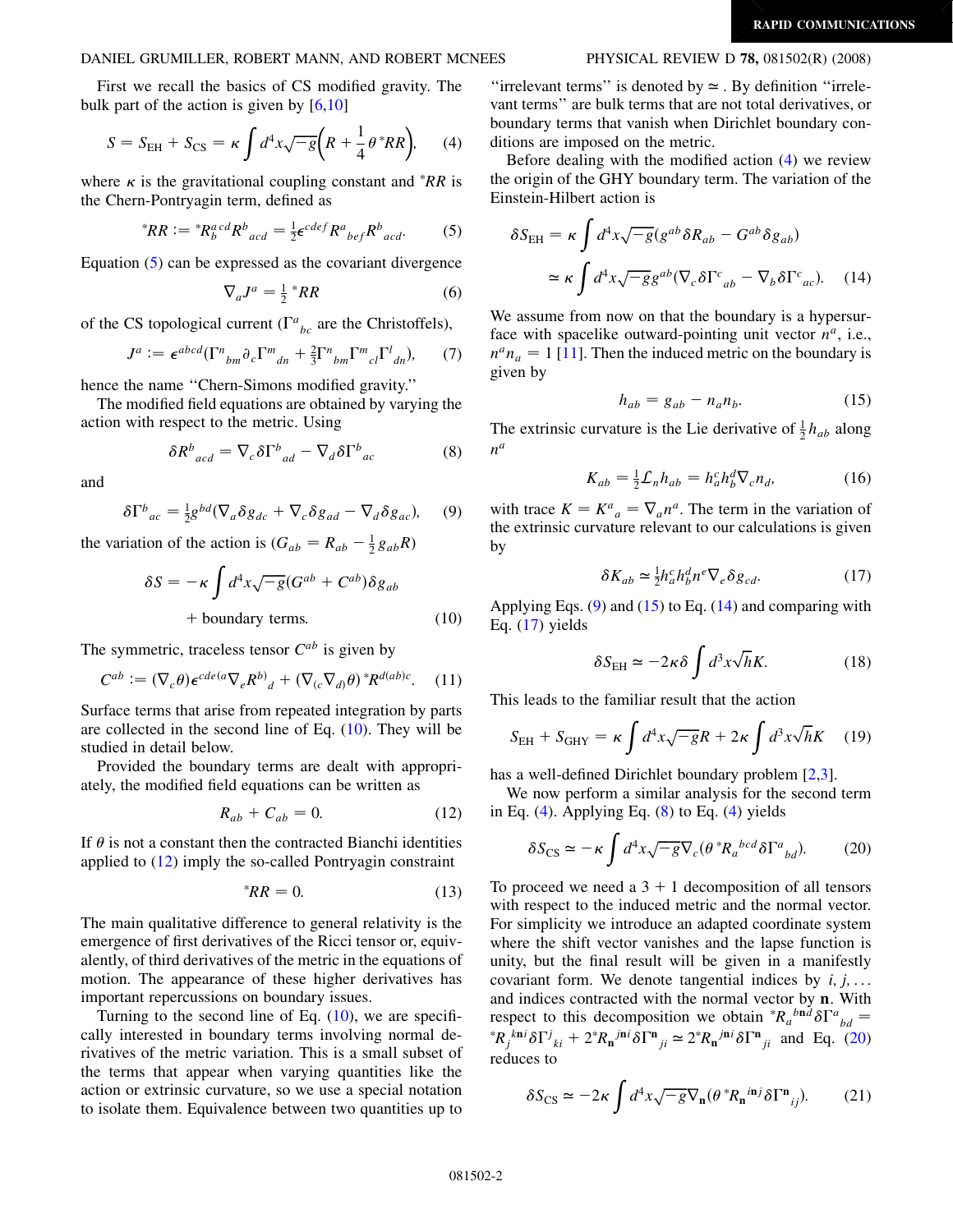<span id="page-1-3"></span>DANIEL GRUMILLER, ROBERT MANN, AND ROBERT MCNEES PHYSICAL REVIEW D 78, 081502(R) (2008)

First we recall the basics of CS modified gravity. The bulk part of the action is given by [6,10]

$$
S = SEH + SCS = \kappa \int d^4x \sqrt{-g} \left( R + \frac{1}{4} \theta^* R R \right), \qquad (4)
$$

where  $\kappa$  is the gravitational coupling constant and  $*RR$  is the Chern-Pontryagin term, defined as

$$
{}^*RR := {}^*R_b^{acd}R_b^b{}_{acd} = \frac{1}{2} \epsilon^{cdef}R^a{}_{bef}R^b{}_{acd}.
$$
 (5)

Equation (5) can be expressed as the covariant divergence

$$
\nabla_a J^a = \frac{1}{2} \, ^*RR \tag{6}
$$

of the CS topological current ( $\Gamma^a{}_{bc}$  are the Christoffels),

$$
J^a := \epsilon^{abcd} (\Gamma^n{}_{bm}\partial_c \Gamma^m{}_{dn} + \frac{2}{3} \Gamma^n{}_{bm}\Gamma^m{}_{cl} \Gamma^l{}_{dn}), \qquad (7)
$$

hence the name ''Chern-Simons modified gravity.''

The modified field equations are obtained by varying the action with respect to the metric. Using

$$
\delta R^b{}_{acd} = \nabla_c \delta \Gamma^b{}_{ad} - \nabla_d \delta \Gamma^b{}_{ac} \tag{8}
$$

and

$$
\delta \Gamma^{b}_{ac} = \frac{1}{2} g^{bd} (\nabla_a \delta g_{dc} + \nabla_c \delta g_{ad} - \nabla_d \delta g_{ac}), \quad (9)
$$

<span id="page-1-0"></span>the variation of the action is  $(G_{ab} = R_{ab} - \frac{1}{2}g_{ab}R)$ 

$$
\delta S = -\kappa \int d^4x \sqrt{-g} (G^{ab} + C^{ab}) \delta g_{ab}
$$
  
+ boundary terms. (10)

The symmetric, traceless tensor  $C^{ab}$  is given by

$$
C^{ab} := (\nabla_c \theta) \epsilon^{cde(a} \nabla_e R^b)_d + (\nabla_{(c} \nabla_{d)} \theta)^* R^{d(ab)c}.
$$
 (11)

Surface terms that arise from repeated integration by parts are collected in the second line of Eq. ([10\)](#page-1-0). They will be studied in detail below.

<span id="page-1-1"></span>Provided the boundary terms are dealt with appropriately, the modified field equations can be written as

$$
R_{ab} + C_{ab} = 0. \tag{12}
$$

<span id="page-1-4"></span>If  $\theta$  is not a constant then the contracted Bianchi identities applied to ([12](#page-1-1)) imply the so-called Pontryagin constraint

$$
{}^*RR = 0. \tag{13}
$$

The main qualitative difference to general relativity is the emergence of first derivatives of the Ricci tensor or, equivalently, of third derivatives of the metric in the equations of motion. The appearance of these higher derivatives has important repercussions on boundary issues.

Turning to the second line of Eq.  $(10)$  $(10)$  $(10)$ , we are specifically interested in boundary terms involving normal derivatives of the metric variation. This is a small subset of the terms that appear when varying quantities like the action or extrinsic curvature, so we use a special notation to isolate them. Equivalence between two quantities up to

"irrelevant terms" is denoted by  $\simeq$  . By definition "irrelevant terms'' are bulk terms that are not total derivatives, or boundary terms that vanish when Dirichlet boundary conditions are imposed on the metric.

Before dealing with the modified action (4) we review the origin of the GHY boundary term. The variation of the Einstein-Hilbert action is

<span id="page-1-2"></span>
$$
\delta S_{\text{EH}} = \kappa \int d^4x \sqrt{-g} (g^{ab} \delta R_{ab} - G^{ab} \delta g_{ab})
$$

$$
\simeq \kappa \int d^4x \sqrt{-g} g^{ab} (\nabla_c \delta \Gamma^c_{ab} - \nabla_b \delta \Gamma^c_{ac}). \tag{14}
$$

We assume from now on that the boundary is a hypersurface with spacelike outward-pointing unit vector  $n^a$ , i.e.,  $n^a n_a = 1$  [11]. Then the induced metric on the boundary is given by

$$
h_{ab} = g_{ab} - n_a n_b. \tag{15}
$$

The extrinsic curvature is the Lie derivative of  $\frac{1}{2}h_{ab}$  along  $n^a$ 

$$
K_{ab} = \frac{1}{2} \mathcal{L}_n h_{ab} = h_a^c h_b^d \nabla_c n_d, \tag{16}
$$

with trace  $K = K^a{}_a = \nabla_a n^a$ . The term in the variation of the extrinsic curvature relevant to our calculations is given by

$$
\delta K_{ab} \simeq \frac{1}{2} h_a^c h_b^d n^e \nabla_e \delta g_{cd}.
$$
 (17)

Applying Eqs.  $(9)$  and  $(15)$  to Eq.  $(14)$  and comparing with Eq.  $(17)$  yields

$$
\delta S_{\rm EH} \simeq -2\kappa \delta \int d^3x \sqrt{h} K. \tag{18}
$$

This leads to the familiar result that the action

$$
S_{\text{EH}} + S_{\text{GHY}} = \kappa \int d^4x \sqrt{-g}R + 2\kappa \int d^3x \sqrt{h}K \quad (19)
$$

has a well-defined Dirichlet boundary problem [2,3].

We now perform a similar analysis for the second term in Eq.  $(4)$ . Applying Eq.  $(8)$  to Eq.  $(4)$  yields

$$
\delta S_{\rm CS} \simeq -\kappa \int d^4x \sqrt{-g} \nabla_c (\theta^* R_a{}^{bcd} \delta \Gamma^a{}_{bd}). \tag{20}
$$

To proceed we need a  $3 + 1$  decomposition of all tensors with respect to the induced metric and the normal vector. For simplicity we introduce an adapted coordinate system where the shift vector vanishes and the lapse function is unity, but the final result will be given in a manifestly covariant form. We denote tangential indices by  $i, j, \ldots$ and indices contracted with the normal vector by n. With respect to this decomposition we obtain  ${}^*R_a{}^{bnd}\delta\Gamma^a{}_{bd}$  =  ${}^*R_j{}^{kni}\delta\Gamma^j{}_{ki} + 2{}^*R_n{}^{jni}\delta\Gamma^n{}_{ji} \simeq 2{}^*R_n{}^{jni}\delta\Gamma^n{}_{ji}$  and Eq. (20) reduces to

$$
\delta S_{\text{CS}} \simeq -2\kappa \int d^4x \sqrt{-g} \nabla_{\mathbf{n}} (\theta^* R_{\mathbf{n}}{}^{i\mathbf{n}j} \delta \Gamma^{\mathbf{n}}{}_{ij}).\tag{21}
$$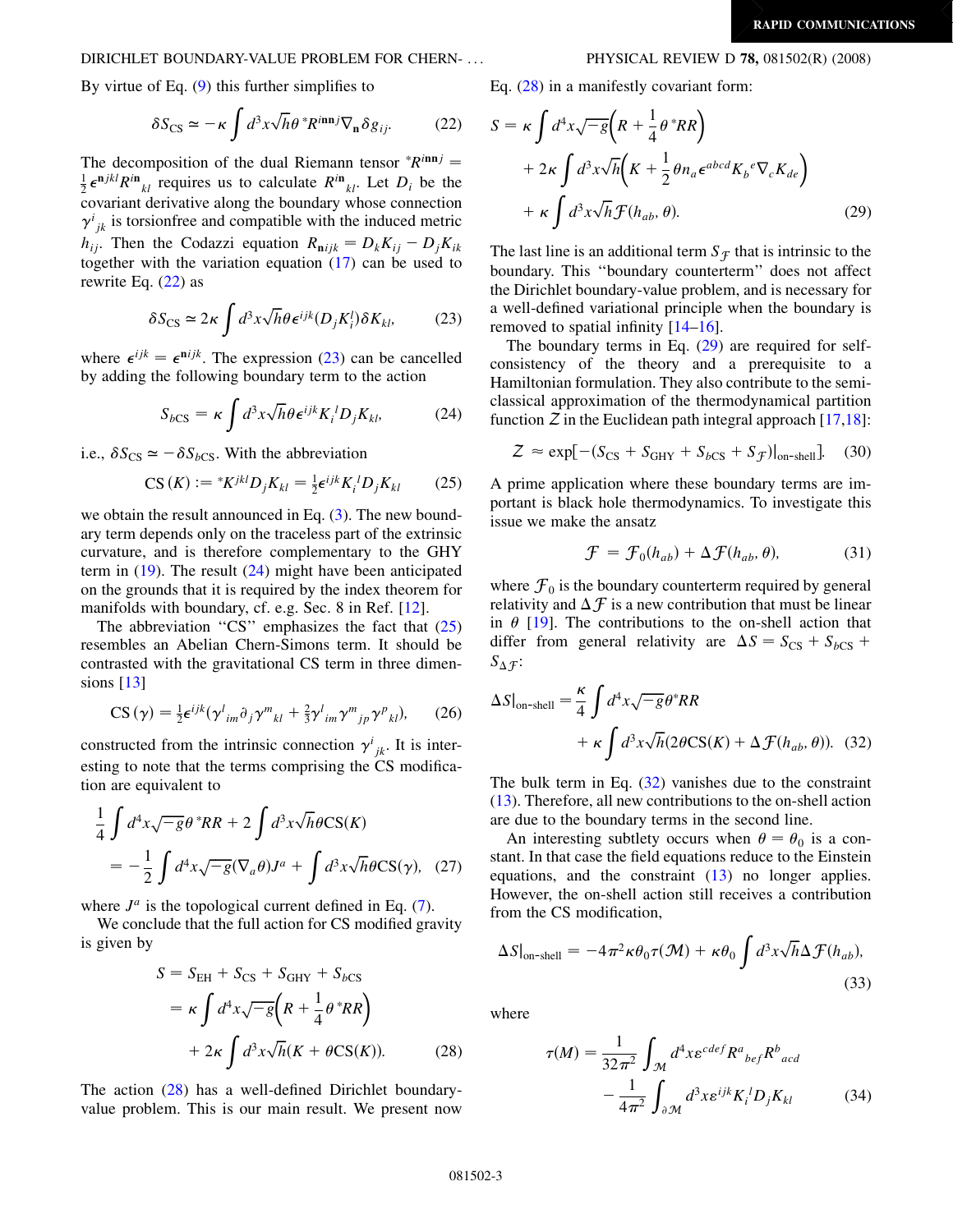# <span id="page-2-0"></span>DIRICHLET BOUNDARY-VALUE PROBLEM FOR CHERN- ... PHYSICAL REVIEW D 78, 081502(R) (2008)

By virtue of Eq. [\(9](#page-1-3)) this further simplifies to

$$
\delta S_{\text{CS}} \simeq -\kappa \int d^3x \sqrt{h} \theta^* R^{i n n j} \nabla_{\mathbf{n}} \delta g_{ij}.
$$
 (22)

The decomposition of the dual Riemann tensor  ${}^*R^{innj} =$ <br> $\frac{1}{6}e^{njkl}R^{in}$  requires us to calculate  $R^{in}$ . Let D, be the  $\frac{1}{2} \epsilon^{n j k l} R^{i n}{}_{k l}$  requires us to calculate  $R^{i n}{}_{k l}$ . Let  $D_i$  be the covariant derivative along the boundary whose connection  $\gamma^{i}_{jk}$  is torsionfree and compatible with the induced metric  $h_{ij}$ . Then the Codazzi equation  $R_{\mathbf{n}ijk} = D_k K_{ij} - D_j K_{ik}$ together with the variation equation ([17](#page-1-3)) can be used to rewrite Eq. (22) as

$$
\delta S_{\rm CS} \simeq 2\kappa \int d^3x \sqrt{h} \theta \epsilon^{ijk} (D_j K_i^l) \delta K_{kl}, \tag{23}
$$

where  $\epsilon^{ijk} = \epsilon^{nijk}$ . The expression (23) can be cancelled by adding the following boundary term to the action

$$
S_{bCS} = \kappa \int d^3x \sqrt{h} \theta \epsilon^{ijk} K_i^{\ d} D_j K_{kl}, \tag{24}
$$

i.e.,  $\delta S_{CS} \simeq -\delta S_{bCS}$ . With the abbreviation

$$
CS(K) := {}^*K^{jkl}D_j K_{kl} = \frac{1}{2} \epsilon^{ijk} K_i{}^l D_j K_{kl} \qquad (25)
$$

we obtain the result announced in Eq. [\(3](#page-0-0)). The new boundary term depends only on the traceless part of the extrinsic curvature, and is therefore complementary to the GHY term in  $(19)$  $(19)$  $(19)$ . The result  $(24)$  might have been anticipated on the grounds that it is required by the index theorem for manifolds with boundary, cf. e.g. Sec. 8 in Ref. [12].

The abbreviation "CS" emphasizes the fact that  $(25)$ resembles an Abelian Chern-Simons term. It should be contrasted with the gravitational CS term in three dimensions [13]

$$
CS(\gamma) = \frac{1}{2} \epsilon^{ijk} (\gamma_{im}^l \partial_j \gamma_{kl}^m + \frac{2}{3} \gamma_{im}^l \gamma_{lj}^m \gamma_{jl}^p, \qquad (26)
$$

constructed from the intrinsic connection  $\gamma^{i}_{jk}$ . It is interesting to note that the terms comprising the CS modification are equivalent to

$$
\frac{1}{4} \int d^4x \sqrt{-g} \theta^*RR + 2 \int d^3x \sqrt{h} \theta CS(K)
$$

$$
= -\frac{1}{2} \int d^4x \sqrt{-g} (\nabla_a \theta) J^a + \int d^3x \sqrt{h} \theta CS(\gamma), \quad (27)
$$

where  $J^a$  is the topological current defined in Eq. [\(7\)](#page-1-3).

We conclude that the full action for CS modified gravity is given by

$$
S = SEH + SCS + SGHY + SbCS
$$
  
=  $\kappa \int d^4x \sqrt{-g} \left( R + \frac{1}{4} \theta^* R R \right)$   
+  $2\kappa \int d^3x \sqrt{h} (K + \theta \text{CS}(K))$ . (28)

The action (28) has a well-defined Dirichlet boundaryvalue problem. This is our main result. We present now Eq. (28) in a manifestly covariant form:

$$
S = \kappa \int d^4x \sqrt{-g} \left( R + \frac{1}{4} \theta^* R R \right)
$$
  
+  $2\kappa \int d^3x \sqrt{h} \left( K + \frac{1}{2} \theta n_a \epsilon^{abcd} K_b{}^e \nabla_c K_{de} \right)$   
+  $\kappa \int d^3x \sqrt{h} \mathcal{F}(h_{ab}, \theta).$  (29)

The last line is an additional term  $S_f$  that is intrinsic to the boundary. This ''boundary counterterm'' does not affect the Dirichlet boundary-value problem, and is necessary for a well-defined variational principle when the boundary is removed to spatial infinity  $[14–16]$ .

The boundary terms in Eq.  $(29)$  are required for selfconsistency of the theory and a prerequisite to a Hamiltonian formulation. They also contribute to the semiclassical approximation of the thermodynamical partition function  $\overline{Z}$  in the Euclidean path integral approach [17,18]:

$$
Z \approx \exp[-(S_{\text{CS}} + S_{\text{GHY}} + S_{b\text{CS}} + S_{\mathcal{F}})]_{\text{on-shell}}].
$$
 (30)

A prime application where these boundary terms are important is black hole thermodynamics. To investigate this issue we make the ansatz

$$
\mathcal{F} = \mathcal{F}_0(h_{ab}) + \Delta \mathcal{F}(h_{ab}, \theta), \tag{31}
$$

where  $\mathcal{F}_0$  is the boundary counterterm required by general relativity and  $\Delta \mathcal{F}$  is a new contribution that must be linear in  $\theta$  [19]. The contributions to the on-shell action that differ from general relativity are  $\Delta S = S_{CS} + S_{bCS} +$  $S_{\Delta\mathcal{F}}$ :

$$
\Delta S|_{\text{on-shell}} = \frac{\kappa}{4} \int d^4x \sqrt{-g} \theta^* RR
$$
  
+  $\kappa \int d^3x \sqrt{h} (2\theta \text{CS}(K) + \Delta \mathcal{F}(h_{ab}, \theta)).$  (32)

The bulk term in Eq. (32) vanishes due to the constraint [\(13\)](#page-1-4). Therefore, all new contributions to the on-shell action are due to the boundary terms in the second line.

An interesting subtlety occurs when  $\theta = \theta_0$  is a constant. In that case the field equations reduce to the Einstein equations, and the constraint ([13](#page-1-4)) no longer applies. However, the on-shell action still receives a contribution from the CS modification,

$$
\Delta S|_{\text{on-shell}} = -4\pi^2 \kappa \theta_0 \tau(\mathcal{M}) + \kappa \theta_0 \int d^3 x \sqrt{h} \Delta \mathcal{F}(h_{ab}),
$$
\n(33)

where

$$
\tau(M) = \frac{1}{32\pi^2} \int_{\mathcal{M}} d^4x \varepsilon^{cdef} R^a{}_{bef} R^b{}_{acd}
$$

$$
- \frac{1}{4\pi^2} \int_{\partial \mathcal{M}} d^3x \varepsilon^{ijk} K_i{}^l D_j K_{kl} \tag{34}
$$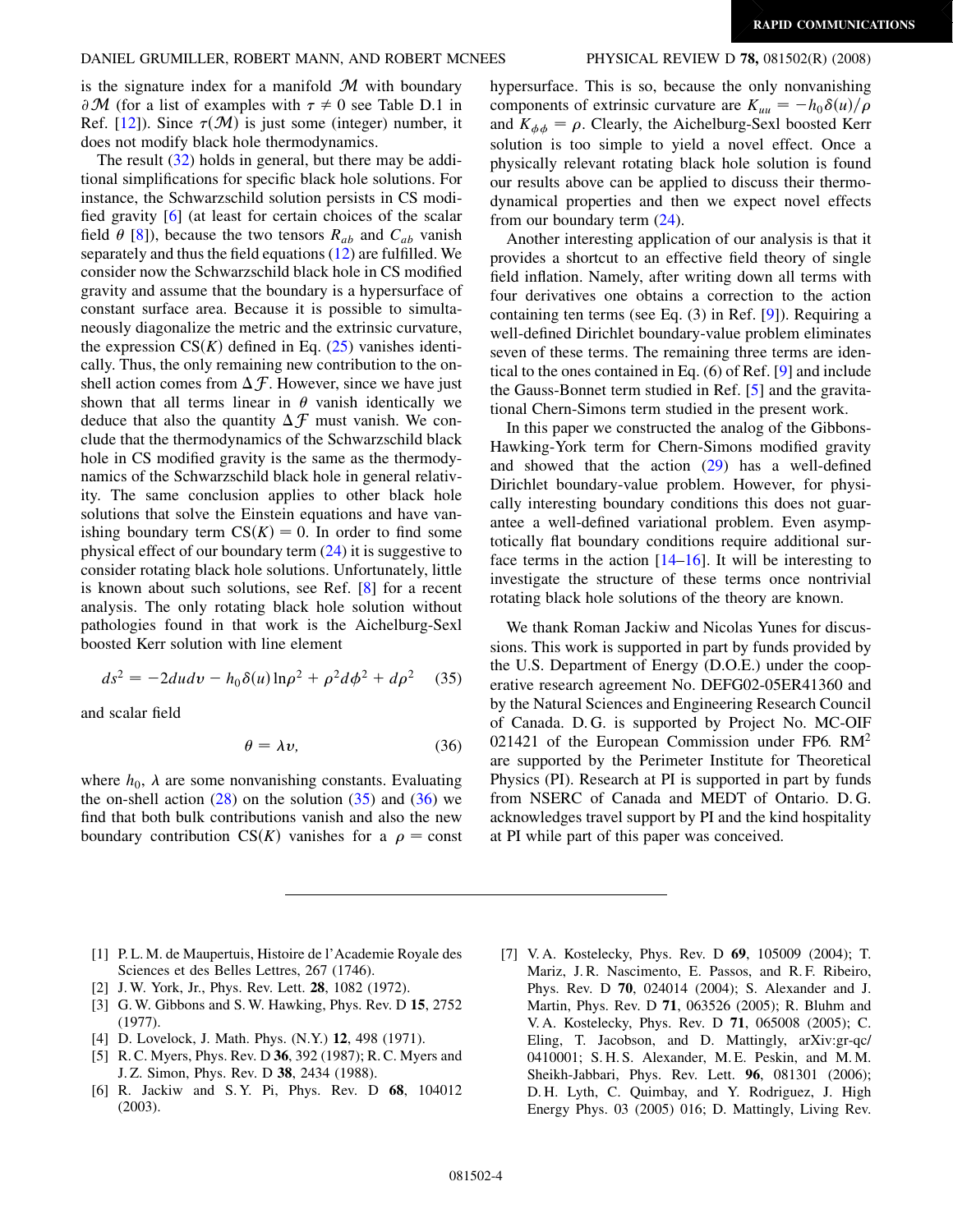is the signature index for a manifold  $\mathcal M$  with boundary  $\partial M$  (for a list of examples with  $\tau \neq 0$  see Table D.1 in Ref. [12]). Since  $\tau(\mathcal{M})$  is just some (integer) number, it does not modify black hole thermodynamics.

The result [\(32\)](#page-2-0) holds in general, but there may be additional simplifications for specific black hole solutions. For instance, the Schwarzschild solution persists in CS modified gravity [6] (at least for certain choices of the scalar field  $\theta$  [8]), because the two tensors  $R_{ab}$  and  $C_{ab}$  vanish separately and thus the field equations [\(12\)](#page-1-1) are fulfilled. We consider now the Schwarzschild black hole in CS modified gravity and assume that the boundary is a hypersurface of constant surface area. Because it is possible to simultaneously diagonalize the metric and the extrinsic curvature, the expression  $CS(K)$  defined in Eq. [\(25\)](#page-2-0) vanishes identically. Thus, the only remaining new contribution to the onshell action comes from  $\Delta \mathcal{F}$ . However, since we have just shown that all terms linear in  $\theta$  vanish identically we deduce that also the quantity  $\Delta \mathcal{F}$  must vanish. We conclude that the thermodynamics of the Schwarzschild black hole in CS modified gravity is the same as the thermodynamics of the Schwarzschild black hole in general relativity. The same conclusion applies to other black hole solutions that solve the Einstein equations and have vanishing boundary term  $CS(K) = 0$ . In order to find some physical effect of our boundary term [\(24\)](#page-2-0) it is suggestive to consider rotating black hole solutions. Unfortunately, little is known about such solutions, see Ref. [8] for a recent analysis. The only rotating black hole solution without pathologies found in that work is the Aichelburg-Sexl boosted Kerr solution with line element

$$
ds^{2} = -2du dv - h_{0}\delta(u)\ln\rho^{2} + \rho^{2}d\phi^{2} + d\rho^{2}
$$
 (35)

and scalar field

$$
\theta = \lambda v,\tag{36}
$$

where  $h_0$ ,  $\lambda$  are some nonvanishing constants. Evaluating the on-shell action  $(28)$  $(28)$  $(28)$  on the solution  $(35)$  and  $(36)$  we find that both bulk contributions vanish and also the new boundary contribution  $CS(K)$  vanishes for a  $\rho = \text{const}$ 

hypersurface. This is so, because the only nonvanishing components of extrinsic curvature are  $K_{uu} = -h_0 \delta(u)/\rho$ and  $K_{\phi\phi} = \rho$ . Clearly, the Aichelburg-Sexl boosted Kerr solution is too simple to yield a novel effect. Once a physically relevant rotating black hole solution is found our results above can be applied to discuss their thermodynamical properties and then we expect novel effects from our boundary term ([24](#page-2-0)).

Another interesting application of our analysis is that it provides a shortcut to an effective field theory of single field inflation. Namely, after writing down all terms with four derivatives one obtains a correction to the action containing ten terms (see Eq. (3) in Ref. [9]). Requiring a well-defined Dirichlet boundary-value problem eliminates seven of these terms. The remaining three terms are identical to the ones contained in Eq. (6) of Ref. [9] and include the Gauss-Bonnet term studied in Ref. [5] and the gravitational Chern-Simons term studied in the present work.

In this paper we constructed the analog of the Gibbons-Hawking-York term for Chern-Simons modified gravity and showed that the action  $(29)$  has a well-defined Dirichlet boundary-value problem. However, for physically interesting boundary conditions this does not guarantee a well-defined variational problem. Even asymptotically flat boundary conditions require additional surface terms in the action  $[14–16]$ . It will be interesting to investigate the structure of these terms once nontrivial rotating black hole solutions of the theory are known.

We thank Roman Jackiw and Nicolas Yunes for discussions. This work is supported in part by funds provided by the U.S. Department of Energy (D.O.E.) under the cooperative research agreement No. DEFG02-05ER41360 and by the Natural Sciences and Engineering Research Council of Canada. D. G. is supported by Project No. MC-OIF 021421 of the European Commission under FP6. RM2 are supported by the Perimeter Institute for Theoretical Physics (PI). Research at PI is supported in part by funds from NSERC of Canada and MEDT of Ontario. D. G. acknowledges travel support by PI and the kind hospitality at PI while part of this paper was conceived.

- [1] P. L. M. de Maupertuis, Histoire de l'Academie Royale des Sciences et des Belles Lettres, 267 (1746).
- [2] J. W. York, Jr., Phys. Rev. Lett. **28**, 1082 (1972).
- [3] G. W. Gibbons and S. W. Hawking, Phys. Rev. D 15, 2752 (1977).
- [4] D. Lovelock, J. Math. Phys. (N.Y.) **12**, 498 (1971).
- [5] R. C. Myers, Phys. Rev. D 36, 392 (1987); R. C. Myers and J. Z. Simon, Phys. Rev. D 38, 2434 (1988).
- [6] R. Jackiw and S. Y. Pi, Phys. Rev. D 68, 104012 (2003).
- [7] V. A. Kostelecky, Phys. Rev. D 69, 105009 (2004); T. Mariz, J. R. Nascimento, E. Passos, and R. F. Ribeiro, Phys. Rev. D 70, 024014 (2004); S. Alexander and J. Martin, Phys. Rev. D 71, 063526 (2005); R. Bluhm and V. A. Kostelecky, Phys. Rev. D 71, 065008 (2005); C. Eling, T. Jacobson, and D. Mattingly, arXiv:gr-qc/ 0410001; S. H. S. Alexander, M. E. Peskin, and M. M. Sheikh-Jabbari, Phys. Rev. Lett. 96, 081301 (2006); D. H. Lyth, C. Quimbay, and Y. Rodriguez, J. High Energy Phys. 03 (2005) 016; D. Mattingly, Living Rev.